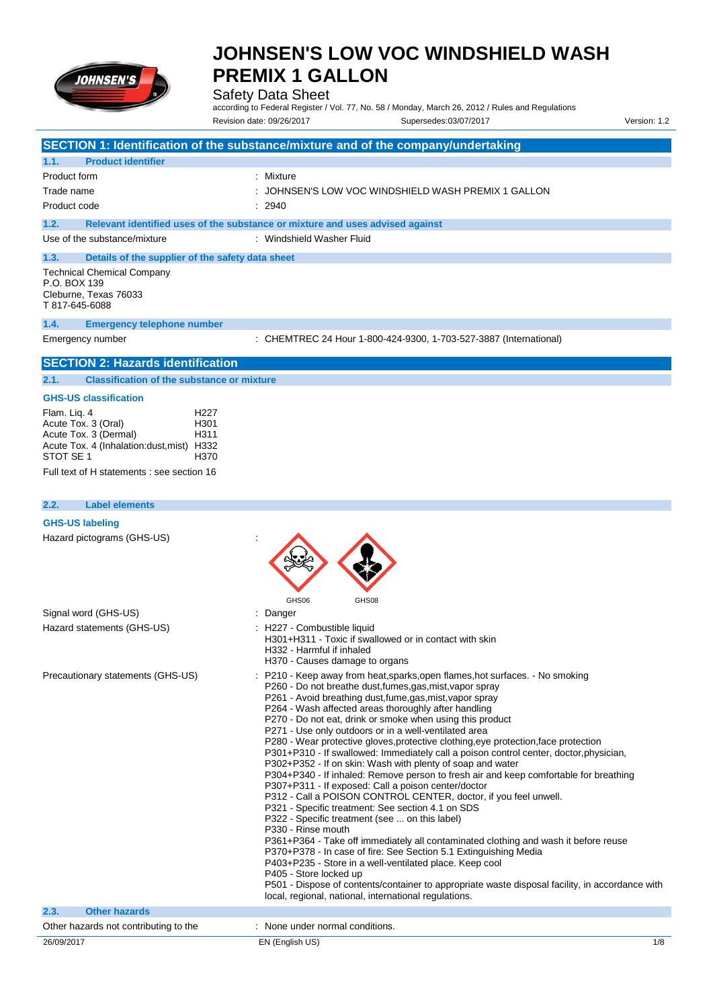

Safety Data Sheet

according to Federal Register / Vol. 77, No. 58 / Monday, March 26, 2012 / Rules and Regulations Revision date: 09/26/2017 Supersedes:03/07/2017 Version: 1.2

|                                                                                                                                                                                                                               | SECTION 1: Identification of the substance/mixture and of the company/undertaking                                                                                                                                                                                                                                                                                                                                                                                                                                                                                                                                                                                                                                                                                                                                                                                                                                                                                                                                                                                                                                                                                                                                                                                                                                                                                                                 |
|-------------------------------------------------------------------------------------------------------------------------------------------------------------------------------------------------------------------------------|---------------------------------------------------------------------------------------------------------------------------------------------------------------------------------------------------------------------------------------------------------------------------------------------------------------------------------------------------------------------------------------------------------------------------------------------------------------------------------------------------------------------------------------------------------------------------------------------------------------------------------------------------------------------------------------------------------------------------------------------------------------------------------------------------------------------------------------------------------------------------------------------------------------------------------------------------------------------------------------------------------------------------------------------------------------------------------------------------------------------------------------------------------------------------------------------------------------------------------------------------------------------------------------------------------------------------------------------------------------------------------------------------|
| <b>Product identifier</b><br>1.1.                                                                                                                                                                                             |                                                                                                                                                                                                                                                                                                                                                                                                                                                                                                                                                                                                                                                                                                                                                                                                                                                                                                                                                                                                                                                                                                                                                                                                                                                                                                                                                                                                   |
| Product form                                                                                                                                                                                                                  | : Mixture                                                                                                                                                                                                                                                                                                                                                                                                                                                                                                                                                                                                                                                                                                                                                                                                                                                                                                                                                                                                                                                                                                                                                                                                                                                                                                                                                                                         |
| Trade name                                                                                                                                                                                                                    | JOHNSEN'S LOW VOC WINDSHIELD WASH PREMIX 1 GALLON                                                                                                                                                                                                                                                                                                                                                                                                                                                                                                                                                                                                                                                                                                                                                                                                                                                                                                                                                                                                                                                                                                                                                                                                                                                                                                                                                 |
| Product code                                                                                                                                                                                                                  | 2940                                                                                                                                                                                                                                                                                                                                                                                                                                                                                                                                                                                                                                                                                                                                                                                                                                                                                                                                                                                                                                                                                                                                                                                                                                                                                                                                                                                              |
| 1.2.                                                                                                                                                                                                                          | Relevant identified uses of the substance or mixture and uses advised against                                                                                                                                                                                                                                                                                                                                                                                                                                                                                                                                                                                                                                                                                                                                                                                                                                                                                                                                                                                                                                                                                                                                                                                                                                                                                                                     |
| Use of the substance/mixture                                                                                                                                                                                                  | : Windshield Washer Fluid                                                                                                                                                                                                                                                                                                                                                                                                                                                                                                                                                                                                                                                                                                                                                                                                                                                                                                                                                                                                                                                                                                                                                                                                                                                                                                                                                                         |
| 1.3.<br>Details of the supplier of the safety data sheet<br><b>Technical Chemical Company</b><br>P.O. BOX 139<br>Cleburne, Texas 76033<br>T 817-645-6088                                                                      |                                                                                                                                                                                                                                                                                                                                                                                                                                                                                                                                                                                                                                                                                                                                                                                                                                                                                                                                                                                                                                                                                                                                                                                                                                                                                                                                                                                                   |
| 1.4.<br><b>Emergency telephone number</b>                                                                                                                                                                                     |                                                                                                                                                                                                                                                                                                                                                                                                                                                                                                                                                                                                                                                                                                                                                                                                                                                                                                                                                                                                                                                                                                                                                                                                                                                                                                                                                                                                   |
| Emergency number                                                                                                                                                                                                              | : CHEMTREC 24 Hour 1-800-424-9300, 1-703-527-3887 (International)                                                                                                                                                                                                                                                                                                                                                                                                                                                                                                                                                                                                                                                                                                                                                                                                                                                                                                                                                                                                                                                                                                                                                                                                                                                                                                                                 |
| <b>SECTION 2: Hazards identification</b>                                                                                                                                                                                      |                                                                                                                                                                                                                                                                                                                                                                                                                                                                                                                                                                                                                                                                                                                                                                                                                                                                                                                                                                                                                                                                                                                                                                                                                                                                                                                                                                                                   |
| <b>Classification of the substance or mixture</b><br>2.1.                                                                                                                                                                     |                                                                                                                                                                                                                                                                                                                                                                                                                                                                                                                                                                                                                                                                                                                                                                                                                                                                                                                                                                                                                                                                                                                                                                                                                                                                                                                                                                                                   |
| <b>GHS-US classification</b>                                                                                                                                                                                                  |                                                                                                                                                                                                                                                                                                                                                                                                                                                                                                                                                                                                                                                                                                                                                                                                                                                                                                                                                                                                                                                                                                                                                                                                                                                                                                                                                                                                   |
| Flam. Liq. 4<br>H <sub>22</sub> 7<br>Acute Tox. 3 (Oral)<br>H <sub>301</sub><br>Acute Tox. 3 (Dermal)<br>H311<br>Acute Tox. 4 (Inhalation:dust, mist) H332<br>STOT SE 1<br>H370<br>Full text of H statements : see section 16 |                                                                                                                                                                                                                                                                                                                                                                                                                                                                                                                                                                                                                                                                                                                                                                                                                                                                                                                                                                                                                                                                                                                                                                                                                                                                                                                                                                                                   |
|                                                                                                                                                                                                                               |                                                                                                                                                                                                                                                                                                                                                                                                                                                                                                                                                                                                                                                                                                                                                                                                                                                                                                                                                                                                                                                                                                                                                                                                                                                                                                                                                                                                   |
| <b>Label elements</b><br>2.2.                                                                                                                                                                                                 |                                                                                                                                                                                                                                                                                                                                                                                                                                                                                                                                                                                                                                                                                                                                                                                                                                                                                                                                                                                                                                                                                                                                                                                                                                                                                                                                                                                                   |
| Hazard pictograms (GHS-US)                                                                                                                                                                                                    | GHS06<br>GHS08                                                                                                                                                                                                                                                                                                                                                                                                                                                                                                                                                                                                                                                                                                                                                                                                                                                                                                                                                                                                                                                                                                                                                                                                                                                                                                                                                                                    |
| Signal word (GHS-US)                                                                                                                                                                                                          | Danger                                                                                                                                                                                                                                                                                                                                                                                                                                                                                                                                                                                                                                                                                                                                                                                                                                                                                                                                                                                                                                                                                                                                                                                                                                                                                                                                                                                            |
| Hazard statements (GHS-US)                                                                                                                                                                                                    | H227 - Combustible liquid<br>H301+H311 - Toxic if swallowed or in contact with skin<br>H332 - Harmful if inhaled<br>H370 - Causes damage to organs                                                                                                                                                                                                                                                                                                                                                                                                                                                                                                                                                                                                                                                                                                                                                                                                                                                                                                                                                                                                                                                                                                                                                                                                                                                |
| Precautionary statements (GHS-US)                                                                                                                                                                                             | : P210 - Keep away from heat, sparks, open flames, hot surfaces. - No smoking<br>P260 - Do not breathe dust, fumes, gas, mist, vapor spray<br>P261 - Avoid breathing dust, fume, gas, mist, vapor spray<br>P264 - Wash affected areas thoroughly after handling<br>P270 - Do not eat, drink or smoke when using this product<br>P271 - Use only outdoors or in a well-ventilated area<br>P280 - Wear protective gloves, protective clothing, eye protection, face protection<br>P301+P310 - If swallowed: Immediately call a poison control center, doctor, physician,<br>P302+P352 - If on skin: Wash with plenty of soap and water<br>P304+P340 - If inhaled: Remove person to fresh air and keep comfortable for breathing<br>P307+P311 - If exposed: Call a poison center/doctor<br>P312 - Call a POISON CONTROL CENTER, doctor, if you feel unwell.<br>P321 - Specific treatment: See section 4.1 on SDS<br>P322 - Specific treatment (see  on this label)<br>P330 - Rinse mouth<br>P361+P364 - Take off immediately all contaminated clothing and wash it before reuse<br>P370+P378 - In case of fire: See Section 5.1 Extinguishing Media<br>P403+P235 - Store in a well-ventilated place. Keep cool<br>P405 - Store locked up<br>P501 - Dispose of contents/container to appropriate waste disposal facility, in accordance with<br>local, regional, national, international regulations. |
| <b>Other hazards</b><br>2.3.                                                                                                                                                                                                  |                                                                                                                                                                                                                                                                                                                                                                                                                                                                                                                                                                                                                                                                                                                                                                                                                                                                                                                                                                                                                                                                                                                                                                                                                                                                                                                                                                                                   |
| Other hazards not contributing to the                                                                                                                                                                                         | : None under normal conditions.                                                                                                                                                                                                                                                                                                                                                                                                                                                                                                                                                                                                                                                                                                                                                                                                                                                                                                                                                                                                                                                                                                                                                                                                                                                                                                                                                                   |
| 26/09/2017                                                                                                                                                                                                                    | 1/8<br>EN (English US)                                                                                                                                                                                                                                                                                                                                                                                                                                                                                                                                                                                                                                                                                                                                                                                                                                                                                                                                                                                                                                                                                                                                                                                                                                                                                                                                                                            |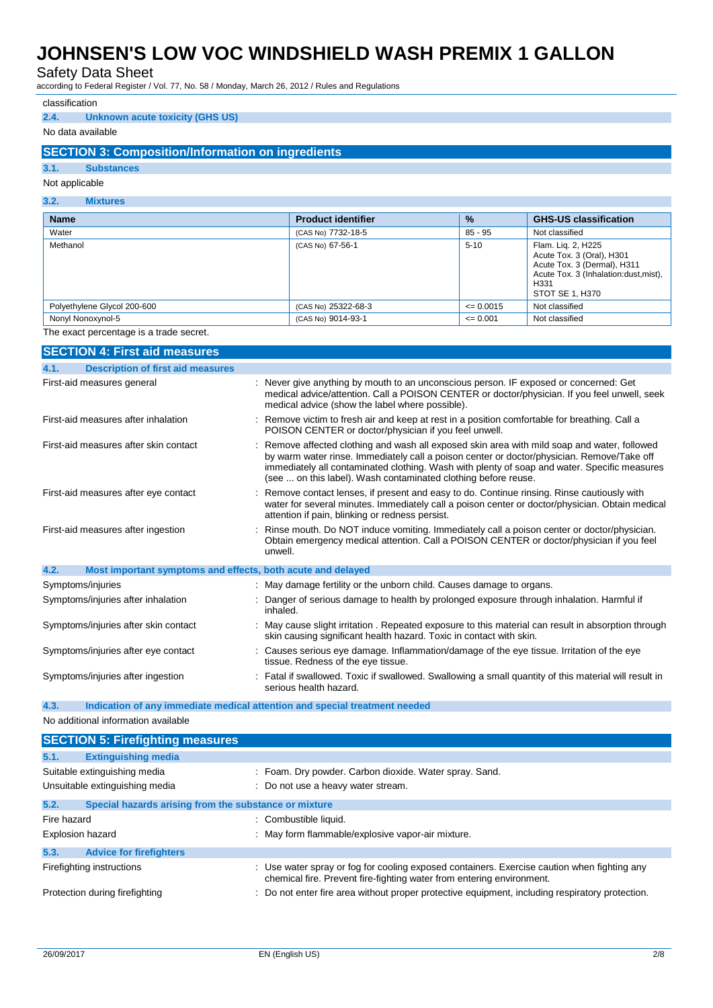Safety Data Sheet

according to Federal Register / Vol. 77, No. 58 / Monday, March 26, 2012 / Rules and Regulations

#### classification

#### **2.4. Unknown acute toxicity (GHS US)**

### No data available

### **SECTION 3: Composition/Information on ingredients**

#### **3.1. Substances**

### Not applicable

| 3.2.<br><b>Mixtures</b>     |                           |               |                                                                                                                                                    |  |
|-----------------------------|---------------------------|---------------|----------------------------------------------------------------------------------------------------------------------------------------------------|--|
| <b>Name</b>                 | <b>Product identifier</b> | $\frac{9}{6}$ | <b>GHS-US classification</b>                                                                                                                       |  |
| Water                       | (CAS No) 7732-18-5        | 85 - 95       | Not classified                                                                                                                                     |  |
| Methanol                    | (CAS No) 67-56-1          | $5 - 10$      | Flam. Lig. 2, H225<br>Acute Tox. 3 (Oral), H301<br>Acute Tox. 3 (Dermal), H311<br>Acute Tox. 3 (Inhalation:dust, mist),<br>H331<br>STOT SE 1, H370 |  |
| Polyethylene Glycol 200-600 | (CAS No) 25322-68-3       | $\leq 0.0015$ | Not classified                                                                                                                                     |  |
| Nonyl Nonoxynol-5           | (CAS No) 9014-93-1        | $\leq 0.001$  | Not classified                                                                                                                                     |  |

The exact percentage is a trade secret.

| <b>SECTION 4: First aid measures</b>                                |                                                                                                                                                                                                                                                                                                                                                            |
|---------------------------------------------------------------------|------------------------------------------------------------------------------------------------------------------------------------------------------------------------------------------------------------------------------------------------------------------------------------------------------------------------------------------------------------|
| <b>Description of first aid measures</b><br>4.1.                    |                                                                                                                                                                                                                                                                                                                                                            |
| First-aid measures general                                          | : Never give anything by mouth to an unconscious person. IF exposed or concerned: Get<br>medical advice/attention. Call a POISON CENTER or doctor/physician. If you feel unwell, seek<br>medical advice (show the label where possible).                                                                                                                   |
| First-aid measures after inhalation                                 | Remove victim to fresh air and keep at rest in a position comfortable for breathing. Call a<br>POISON CENTER or doctor/physician if you feel unwell.                                                                                                                                                                                                       |
| First-aid measures after skin contact                               | Remove affected clothing and wash all exposed skin area with mild soap and water, followed<br>by warm water rinse. Immediately call a poison center or doctor/physician. Remove/Take off<br>immediately all contaminated clothing. Wash with plenty of soap and water. Specific measures<br>(see  on this label). Wash contaminated clothing before reuse. |
| First-aid measures after eye contact                                | Remove contact lenses, if present and easy to do. Continue rinsing. Rinse cautiously with<br>water for several minutes. Immediately call a poison center or doctor/physician. Obtain medical<br>attention if pain, blinking or redness persist.                                                                                                            |
| First-aid measures after ingestion                                  | Rinse mouth. Do NOT induce vomiting. Immediately call a poison center or doctor/physician.<br>Obtain emergency medical attention. Call a POISON CENTER or doctor/physician if you feel<br>unwell.                                                                                                                                                          |
| 4.2.<br>Most important symptoms and effects, both acute and delayed |                                                                                                                                                                                                                                                                                                                                                            |
| Symptoms/injuries                                                   | May damage fertility or the unborn child. Causes damage to organs.                                                                                                                                                                                                                                                                                         |
| Symptoms/injuries after inhalation                                  | Danger of serious damage to health by prolonged exposure through inhalation. Harmful if<br>inhaled.                                                                                                                                                                                                                                                        |
| Symptoms/injuries after skin contact                                | May cause slight irritation. Repeated exposure to this material can result in absorption through<br>skin causing significant health hazard. Toxic in contact with skin.                                                                                                                                                                                    |
| Symptoms/injuries after eye contact                                 | Causes serious eye damage. Inflammation/damage of the eye tissue. Irritation of the eye<br>tissue. Redness of the eye tissue.                                                                                                                                                                                                                              |
| Symptoms/injuries after ingestion                                   | Fatal if swallowed. Toxic if swallowed. Swallowing a small quantity of this material will result in<br>serious health hazard.                                                                                                                                                                                                                              |

### **4.3. Indication of any immediate medical attention and special treatment needed**

No additional information available

| <b>SECTION 5: Firefighting measures</b>                       |                                                                                                                                                                      |
|---------------------------------------------------------------|----------------------------------------------------------------------------------------------------------------------------------------------------------------------|
| 5.1.<br><b>Extinguishing media</b>                            |                                                                                                                                                                      |
| Suitable extinguishing media                                  | : Foam. Dry powder. Carbon dioxide. Water spray. Sand.                                                                                                               |
| Unsuitable extinguishing media                                | : Do not use a heavy water stream.                                                                                                                                   |
| 5.2.<br>Special hazards arising from the substance or mixture |                                                                                                                                                                      |
| Fire hazard                                                   | : Combustible liquid.                                                                                                                                                |
| <b>Explosion hazard</b>                                       | : May form flammable/explosive vapor-air mixture.                                                                                                                    |
| 5.3.<br><b>Advice for firefighters</b>                        |                                                                                                                                                                      |
| Firefighting instructions                                     | : Use water spray or fog for cooling exposed containers. Exercise caution when fighting any<br>chemical fire. Prevent fire-fighting water from entering environment. |
| Protection during firefighting                                | : Do not enter fire area without proper protective equipment, including respiratory protection.                                                                      |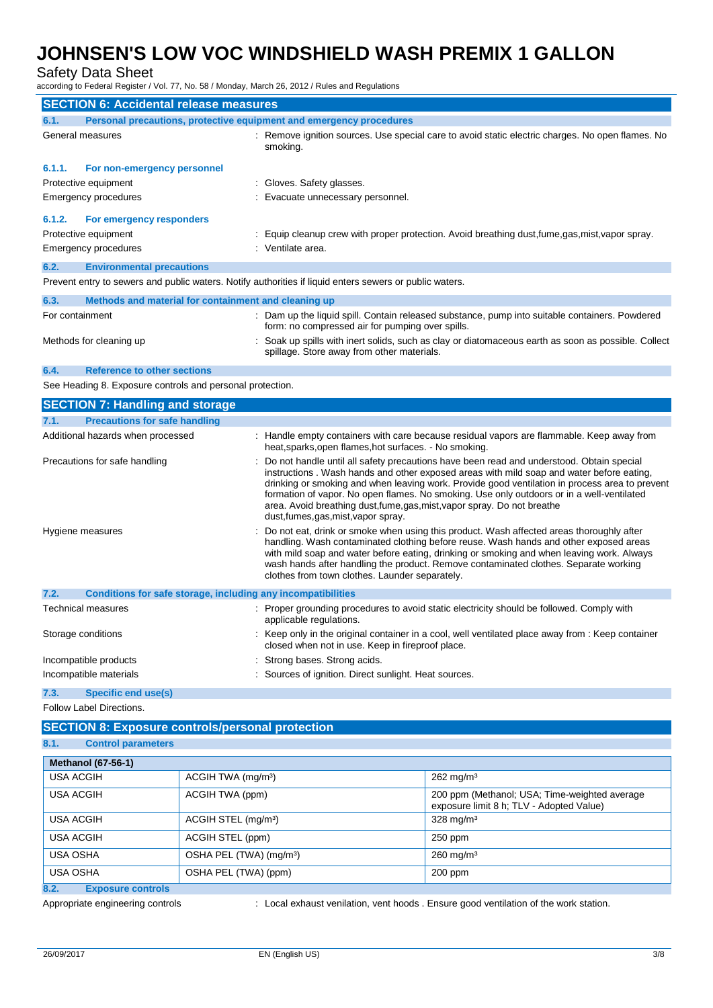## Safety Data Sheet

according to Federal Register / Vol. 77, No. 58 / Monday, March 26, 2012 / Rules and Regulations

| <b>SECTION 6: Accidental release measures</b>                                                           |                                                                     |  |                                                                                                                                                  |
|---------------------------------------------------------------------------------------------------------|---------------------------------------------------------------------|--|--------------------------------------------------------------------------------------------------------------------------------------------------|
| 6.1.                                                                                                    | Personal precautions, protective equipment and emergency procedures |  |                                                                                                                                                  |
|                                                                                                         | General measures                                                    |  | Remove ignition sources. Use special care to avoid static electric charges. No open flames. No<br>smoking.                                       |
| 6.1.1.                                                                                                  | For non-emergency personnel                                         |  |                                                                                                                                                  |
|                                                                                                         | Protective equipment                                                |  | Gloves. Safety glasses.                                                                                                                          |
|                                                                                                         | Emergency procedures                                                |  | Evacuate unnecessary personnel.                                                                                                                  |
| 6.1.2.                                                                                                  | For emergency responders                                            |  |                                                                                                                                                  |
|                                                                                                         | Protective equipment                                                |  | Equip cleanup crew with proper protection. Avoid breathing dust, fume, gas, mist, vapor spray.                                                   |
|                                                                                                         | Emergency procedures                                                |  | : Ventilate area.                                                                                                                                |
| 6.2.                                                                                                    | <b>Environmental precautions</b>                                    |  |                                                                                                                                                  |
| Prevent entry to sewers and public waters. Notify authorities if liquid enters sewers or public waters. |                                                                     |  |                                                                                                                                                  |
| 6.3.                                                                                                    | Methods and material for containment and cleaning up                |  |                                                                                                                                                  |
| For containment                                                                                         |                                                                     |  | Dam up the liquid spill. Contain released substance, pump into suitable containers. Powdered<br>form: no compressed air for pumping over spills. |
|                                                                                                         | Methods for cleaning up                                             |  | Soak up spills with inert solids, such as clay or diatomaceous earth as soon as possible. Collect<br>spillage. Store away from other materials.  |

## **6.4. Reference to other sections**

See Heading 8. Exposure controls and personal protection.

|      | <b>SECTION 7: Handling and storage</b>                       |                                                                                                                                                                                                                                                                                                                                                                                                                                                                                                         |
|------|--------------------------------------------------------------|---------------------------------------------------------------------------------------------------------------------------------------------------------------------------------------------------------------------------------------------------------------------------------------------------------------------------------------------------------------------------------------------------------------------------------------------------------------------------------------------------------|
| 7.1. | <b>Precautions for safe handling</b>                         |                                                                                                                                                                                                                                                                                                                                                                                                                                                                                                         |
|      | Additional hazards when processed                            | : Handle empty containers with care because residual vapors are flammable. Keep away from<br>heat, sparks, open flames, hot surfaces. - No smoking.                                                                                                                                                                                                                                                                                                                                                     |
|      | Precautions for safe handling                                | Do not handle until all safety precautions have been read and understood. Obtain special<br>instructions. Wash hands and other exposed areas with mild soap and water before eating.<br>drinking or smoking and when leaving work. Provide good ventilation in process area to prevent<br>formation of vapor. No open flames. No smoking. Use only outdoors or in a well-ventilated<br>area. Avoid breathing dust, fume, gas, mist, vapor spray. Do not breathe<br>dust, fumes, gas, mist, vapor spray. |
|      | Hygiene measures                                             | Do not eat, drink or smoke when using this product. Wash affected areas thoroughly after<br>handling. Wash contaminated clothing before reuse. Wash hands and other exposed areas<br>with mild soap and water before eating, drinking or smoking and when leaving work. Always<br>wash hands after handling the product. Remove contaminated clothes. Separate working<br>clothes from town clothes. Launder separately.                                                                                |
| 7.2. | Conditions for safe storage, including any incompatibilities |                                                                                                                                                                                                                                                                                                                                                                                                                                                                                                         |
|      | <b>Technical measures</b>                                    | : Proper grounding procedures to avoid static electricity should be followed. Comply with<br>applicable regulations.                                                                                                                                                                                                                                                                                                                                                                                    |
|      | Storage conditions                                           | Keep only in the original container in a cool, well ventilated place away from : Keep container<br>closed when not in use. Keep in fireproof place.                                                                                                                                                                                                                                                                                                                                                     |
|      | Incompatible products                                        | : Strong bases. Strong acids.                                                                                                                                                                                                                                                                                                                                                                                                                                                                           |
|      | Incompatible materials                                       | : Sources of ignition. Direct sunlight. Heat sources.                                                                                                                                                                                                                                                                                                                                                                                                                                                   |

## **7.3. Specific end use(s)**

Follow Label Directions.

### **SECTION 8: Exposure controls/personal protection 8.1. Control parameters**

| <b>Methanol (67-56-1)</b>        |                                     |                                                                                           |
|----------------------------------|-------------------------------------|-------------------------------------------------------------------------------------------|
| USA ACGIH                        | ACGIH TWA (mg/m <sup>3</sup> )      | $262 \,\mathrm{mq/m^3}$                                                                   |
| USA ACGIH                        | ACGIH TWA (ppm)                     | 200 ppm (Methanol; USA; Time-weighted average<br>exposure limit 8 h; TLV - Adopted Value) |
| USA ACGIH                        | ACGIH STEL (mg/m <sup>3</sup> )     | $328$ mg/m <sup>3</sup>                                                                   |
| USA ACGIH                        | ACGIH STEL (ppm)                    | 250 ppm                                                                                   |
| <b>USA OSHA</b>                  | OSHA PEL (TWA) (mg/m <sup>3</sup> ) | $260 \text{ mg/m}^3$                                                                      |
| <b>USA OSHA</b>                  | OSHA PEL (TWA) (ppm)                | 200 ppm                                                                                   |
| 8.2.<br><b>Exposure controls</b> |                                     |                                                                                           |

Appropriate engineering controls : Local exhaust venilation, vent hoods . Ensure good ventilation of the work station.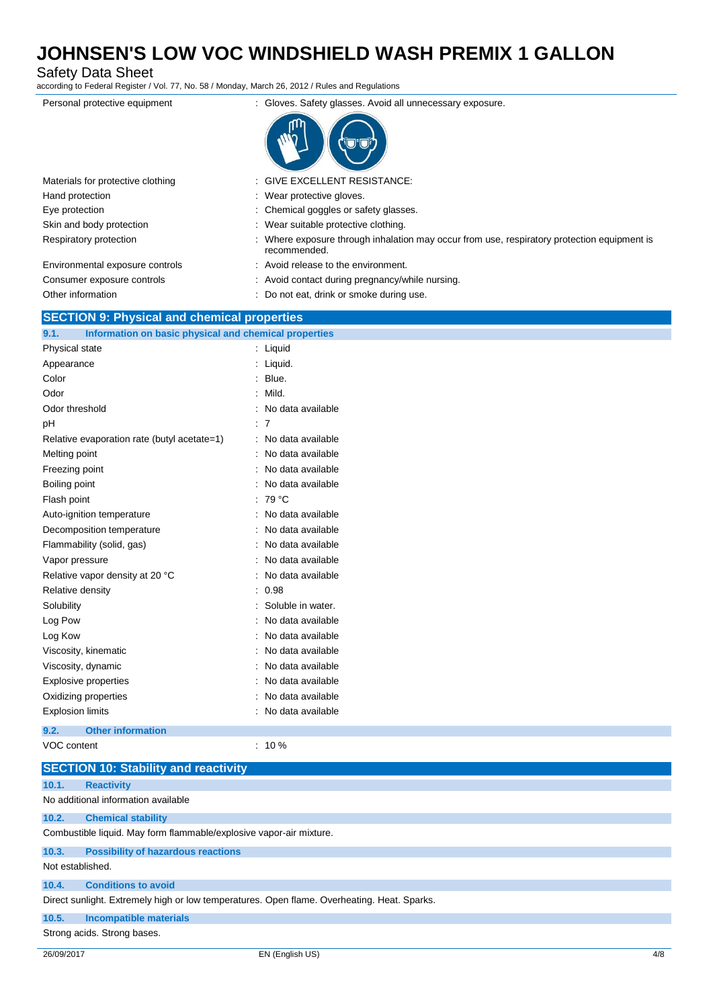Safety Data Sheet

according to Federal Register / Vol. 77, No. 58 / Monday, March 26, 2012 / Rules and Regulations

| Personal protective equipment     | : Gloves. Safety glasses. Avoid all unnecessary exposure.                                                   |
|-----------------------------------|-------------------------------------------------------------------------------------------------------------|
|                                   |                                                                                                             |
| Materials for protective clothing | : GIVE EXCELLENT RESISTANCE:                                                                                |
| Hand protection                   | : Wear protective gloves.                                                                                   |
| Eye protection                    | : Chemical goggles or safety glasses.                                                                       |
| Skin and body protection          | : Wear suitable protective clothing.                                                                        |
| Respiratory protection            | : Where exposure through inhalation may occur from use, respiratory protection equipment is<br>recommended. |
| Environmental exposure controls   | : Avoid release to the environment.                                                                         |

Consumer exposure controls : Avoid contact during pregnancy/while nursing. Other information **contract of the COLO COLO** is Do not eat, drink or smoke during use.

### **SECTION 9: Physical and chemical properties**

**9.1. Information on basic physical and chemical properties**

| <b>INTO MARKET ON DESIGNATION</b> CHEMICAL PLOPERTY OF |                         |
|--------------------------------------------------------|-------------------------|
| Physical state                                         | $:$ Liquid              |
| Appearance                                             | : Liquid.               |
| Color                                                  | Blue.<br>۰.             |
| Odor                                                   | Mild.<br>÷              |
| Odor threshold                                         | No data available       |
| pH                                                     | : 7                     |
| Relative evaporation rate (butyl acetate=1)            | No data available<br>۰. |
| Melting point                                          | : No data available     |
| Freezing point                                         | No data available       |
| Boiling point                                          | : No data available     |
| Flash point                                            | $:79^{\circ}$ C         |
| Auto-ignition temperature                              | : No data available     |
| Decomposition temperature                              | No data available       |
| Flammability (solid, gas)                              | No data available       |
| Vapor pressure                                         | No data available       |
| Relative vapor density at 20 °C                        | No data available       |
| Relative density                                       | 0.98                    |
| Solubility                                             | Soluble in water.<br>٠  |
| Log Pow                                                | : No data available     |
| Log Kow                                                | No data available       |
| Viscosity, kinematic                                   | No data available       |
| Viscosity, dynamic                                     | No data available       |
| <b>Explosive properties</b>                            | No data available       |
| Oxidizing properties                                   | No data available       |
| <b>Explosion limits</b>                                | No data available       |
| <b>Other information</b><br>9.2.                       |                         |
| VOC content                                            | $: 10 \%$               |

|                  | <b>SECTION 10: Stability and reactivity</b>                                                 |  |  |  |
|------------------|---------------------------------------------------------------------------------------------|--|--|--|
| 10.1.            | <b>Reactivity</b>                                                                           |  |  |  |
|                  | No additional information available                                                         |  |  |  |
| 10.2.            | <b>Chemical stability</b>                                                                   |  |  |  |
|                  | Combustible liquid. May form flammable/explosive vapor-air mixture.                         |  |  |  |
| 10.3.            | <b>Possibility of hazardous reactions</b>                                                   |  |  |  |
| Not established. |                                                                                             |  |  |  |
| 10.4.            | <b>Conditions to avoid</b>                                                                  |  |  |  |
|                  | Direct sunlight. Extremely high or low temperatures. Open flame. Overheating. Heat. Sparks. |  |  |  |
| 10.5.            | Incompatible materials                                                                      |  |  |  |
|                  | Strong acids. Strong bases.                                                                 |  |  |  |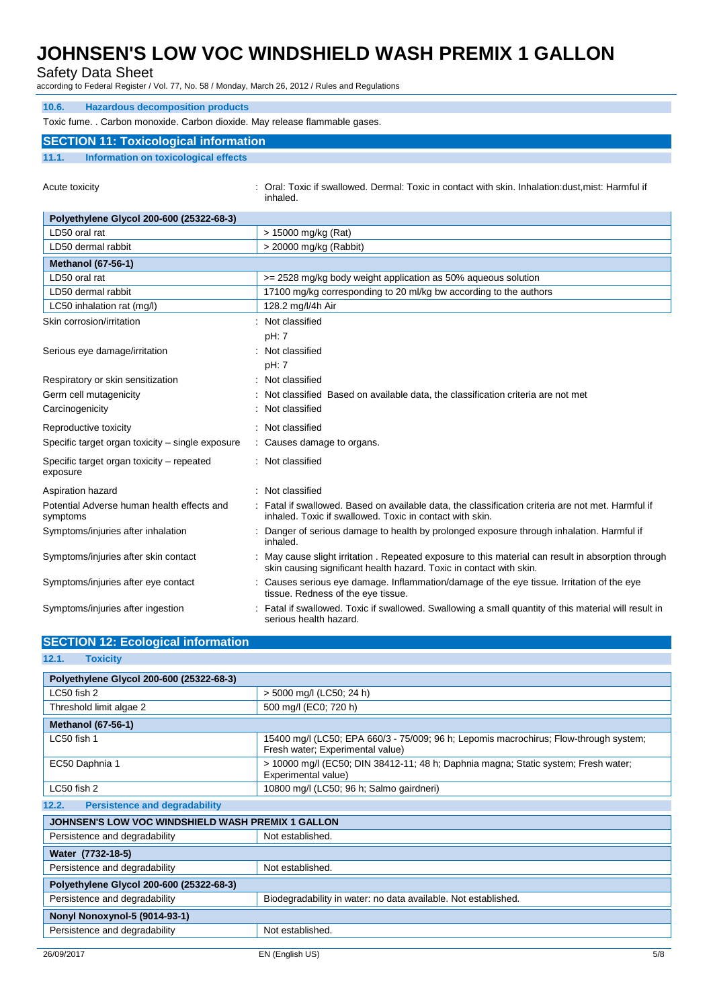Safety Data Sheet

according to Federal Register / Vol. 77, No. 58 / Monday, March 26, 2012 / Rules and Regulations

| <b>Hazardous decomposition products</b><br>10.6.                            |                                                                                                                                                                          |  |  |  |
|-----------------------------------------------------------------------------|--------------------------------------------------------------------------------------------------------------------------------------------------------------------------|--|--|--|
| Toxic fume. . Carbon monoxide. Carbon dioxide. May release flammable gases. |                                                                                                                                                                          |  |  |  |
| <b>SECTION 11: Toxicological information</b>                                |                                                                                                                                                                          |  |  |  |
| 11.1.<br>Information on toxicological effects                               |                                                                                                                                                                          |  |  |  |
|                                                                             |                                                                                                                                                                          |  |  |  |
| Acute toxicity                                                              | : Oral: Toxic if swallowed. Dermal: Toxic in contact with skin. Inhalation:dust,mist: Harmful if<br>inhaled.                                                             |  |  |  |
| Polyethylene Glycol 200-600 (25322-68-3)                                    |                                                                                                                                                                          |  |  |  |
| LD50 oral rat                                                               | > 15000 mg/kg (Rat)                                                                                                                                                      |  |  |  |
| LD50 dermal rabbit                                                          | > 20000 mg/kg (Rabbit)                                                                                                                                                   |  |  |  |
| <b>Methanol (67-56-1)</b>                                                   |                                                                                                                                                                          |  |  |  |
| LD50 oral rat                                                               | >= 2528 mg/kg body weight application as 50% aqueous solution                                                                                                            |  |  |  |
| LD50 dermal rabbit                                                          | 17100 mg/kg corresponding to 20 ml/kg bw according to the authors                                                                                                        |  |  |  |
| LC50 inhalation rat (mg/l)                                                  | 128.2 mg/l/4h Air                                                                                                                                                        |  |  |  |
| Skin corrosion/irritation                                                   | : Not classified                                                                                                                                                         |  |  |  |
|                                                                             | pH: 7                                                                                                                                                                    |  |  |  |
| Serious eye damage/irritation                                               | : Not classified                                                                                                                                                         |  |  |  |
|                                                                             | pH: 7                                                                                                                                                                    |  |  |  |
| Respiratory or skin sensitization                                           | Not classified                                                                                                                                                           |  |  |  |
| Germ cell mutagenicity                                                      | Not classified Based on available data, the classification criteria are not met                                                                                          |  |  |  |
| Carcinogenicity                                                             | Not classified                                                                                                                                                           |  |  |  |
| Reproductive toxicity                                                       | : Not classified                                                                                                                                                         |  |  |  |
| Specific target organ toxicity - single exposure                            | : Causes damage to organs.                                                                                                                                               |  |  |  |
| Specific target organ toxicity - repeated                                   | : Not classified                                                                                                                                                         |  |  |  |
| exposure                                                                    |                                                                                                                                                                          |  |  |  |
| Aspiration hazard                                                           | : Not classified                                                                                                                                                         |  |  |  |
| Potential Adverse human health effects and<br>symptoms                      | : Fatal if swallowed. Based on available data, the classification criteria are not met. Harmful if<br>inhaled. Toxic if swallowed. Toxic in contact with skin.           |  |  |  |
| Symptoms/injuries after inhalation                                          | Danger of serious damage to health by prolonged exposure through inhalation. Harmful if<br>inhaled.                                                                      |  |  |  |
| Symptoms/injuries after skin contact                                        | May cause slight irritation . Repeated exposure to this material can result in absorption through<br>skin causing significant health hazard. Toxic in contact with skin. |  |  |  |
| Symptoms/injuries after eye contact                                         | : Causes serious eye damage. Inflammation/damage of the eye tissue. Irritation of the eye<br>tissue. Redness of the eye tissue.                                          |  |  |  |
| Symptoms/injuries after ingestion                                           | Fatal if swallowed. Toxic if swallowed. Swallowing a small quantity of this material will result in<br>serious health hazard.                                            |  |  |  |

| <b>SECTION 12: Ecological information</b>         |                                                                                                                           |  |
|---------------------------------------------------|---------------------------------------------------------------------------------------------------------------------------|--|
| 12.1.<br><b>Toxicity</b>                          |                                                                                                                           |  |
| Polyethylene Glycol 200-600 (25322-68-3)          |                                                                                                                           |  |
| LC50 fish 2                                       | > 5000 mg/l (LC50; 24 h)                                                                                                  |  |
| Threshold limit algae 2                           | 500 mg/l (EC0; 720 h)                                                                                                     |  |
| <b>Methanol (67-56-1)</b>                         |                                                                                                                           |  |
| LC50 fish 1                                       | 15400 mg/l (LC50; EPA 660/3 - 75/009; 96 h; Lepomis macrochirus; Flow-through system;<br>Fresh water; Experimental value) |  |
| EC50 Daphnia 1                                    | > 10000 mg/l (EC50; DIN 38412-11; 48 h; Daphnia magna; Static system; Fresh water;<br>Experimental value)                 |  |
| LC50 fish 2                                       | 10800 mg/l (LC50; 96 h; Salmo gairdneri)                                                                                  |  |
| <b>Persistence and degradability</b><br>12.2.     |                                                                                                                           |  |
| JOHNSEN'S LOW VOC WINDSHIELD WASH PREMIX 1 GALLON |                                                                                                                           |  |
| Persistence and degradability                     | Not established.                                                                                                          |  |
| Water (7732-18-5)                                 |                                                                                                                           |  |
| Persistence and degradability                     | Not established.                                                                                                          |  |
| Polyethylene Glycol 200-600 (25322-68-3)          |                                                                                                                           |  |
| Persistence and degradability                     | Biodegradability in water: no data available. Not established.                                                            |  |
| <b>Nonyl Nonoxynol-5 (9014-93-1)</b>              |                                                                                                                           |  |
| Persistence and degradability                     | Not established.                                                                                                          |  |
|                                                   |                                                                                                                           |  |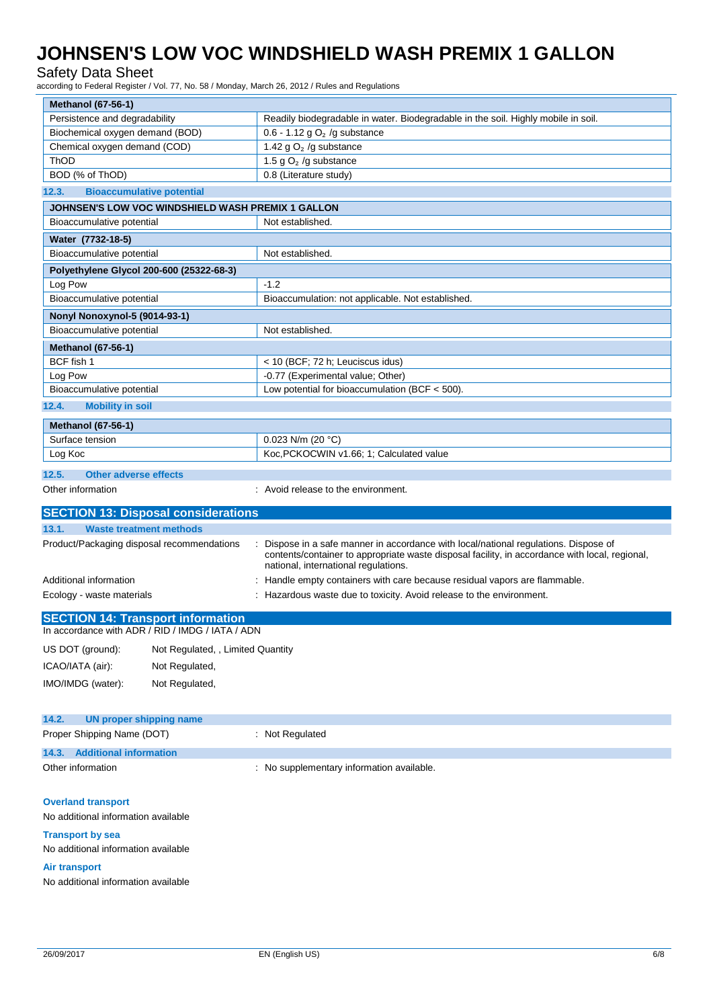## Safety Data Sheet

according to Federal Register / Vol. 77, No. 58 / Monday, March 26, 2012 / Rules and Regulations

| <b>Methanol (67-56-1)</b>                             |                                                                                                                                                                                                                              |  |
|-------------------------------------------------------|------------------------------------------------------------------------------------------------------------------------------------------------------------------------------------------------------------------------------|--|
| Persistence and degradability                         | Readily biodegradable in water. Biodegradable in the soil. Highly mobile in soil.                                                                                                                                            |  |
| Biochemical oxygen demand (BOD)                       | 0.6 - 1.12 g $O2$ /g substance                                                                                                                                                                                               |  |
| Chemical oxygen demand (COD)                          | 1.42 g $O2$ /g substance                                                                                                                                                                                                     |  |
| ThOD                                                  | 1.5 g $O2$ /g substance                                                                                                                                                                                                      |  |
| BOD (% of ThOD)                                       | 0.8 (Literature study)                                                                                                                                                                                                       |  |
| 12.3.<br><b>Bioaccumulative potential</b>             |                                                                                                                                                                                                                              |  |
| JOHNSEN'S LOW VOC WINDSHIELD WASH PREMIX 1 GALLON     |                                                                                                                                                                                                                              |  |
| Bioaccumulative potential                             | Not established.                                                                                                                                                                                                             |  |
| Water (7732-18-5)                                     |                                                                                                                                                                                                                              |  |
| Bioaccumulative potential                             | Not established.                                                                                                                                                                                                             |  |
| Polyethylene Glycol 200-600 (25322-68-3)              |                                                                                                                                                                                                                              |  |
| Log Pow                                               | $-1.2$                                                                                                                                                                                                                       |  |
| Bioaccumulative potential                             | Bioaccumulation: not applicable. Not established.                                                                                                                                                                            |  |
| <b>Nonyl Nonoxynol-5 (9014-93-1)</b>                  |                                                                                                                                                                                                                              |  |
| Bioaccumulative potential                             | Not established.                                                                                                                                                                                                             |  |
| <b>Methanol (67-56-1)</b>                             |                                                                                                                                                                                                                              |  |
| BCF fish 1                                            | < 10 (BCF; 72 h; Leuciscus idus)                                                                                                                                                                                             |  |
| Log Pow                                               | -0.77 (Experimental value; Other)                                                                                                                                                                                            |  |
| Bioaccumulative potential                             | Low potential for bioaccumulation (BCF $<$ 500).                                                                                                                                                                             |  |
| 12.4.<br><b>Mobility in soil</b>                      |                                                                                                                                                                                                                              |  |
| <b>Methanol (67-56-1)</b>                             |                                                                                                                                                                                                                              |  |
| Surface tension                                       | 0.023 N/m (20 °C)                                                                                                                                                                                                            |  |
| Log Koc                                               | Koc, PCKOCWIN v1.66; 1; Calculated value                                                                                                                                                                                     |  |
| 12.5.<br><b>Other adverse effects</b>                 |                                                                                                                                                                                                                              |  |
| Other information                                     | : Avoid release to the environment.                                                                                                                                                                                          |  |
|                                                       |                                                                                                                                                                                                                              |  |
| <b>SECTION 13: Disposal considerations</b>            |                                                                                                                                                                                                                              |  |
|                                                       |                                                                                                                                                                                                                              |  |
| 13.1.<br><b>Waste treatment methods</b>               |                                                                                                                                                                                                                              |  |
| Product/Packaging disposal recommendations            | Dispose in a safe manner in accordance with local/national regulations. Dispose of<br>contents/container to appropriate waste disposal facility, in accordance with local, regional,<br>national, international regulations. |  |
| Additional information                                | : Handle empty containers with care because residual vapors are flammable.                                                                                                                                                   |  |
| Ecology - waste materials                             | : Hazardous waste due to toxicity. Avoid release to the environment.                                                                                                                                                         |  |
| <b>SECTION 14: Transport information</b>              |                                                                                                                                                                                                                              |  |
| In accordance with ADR / RID / IMDG / IATA / ADN      |                                                                                                                                                                                                                              |  |
| US DOT (ground):<br>Not Regulated, , Limited Quantity |                                                                                                                                                                                                                              |  |
| ICAO/IATA (air):<br>Not Regulated,                    |                                                                                                                                                                                                                              |  |
| IMO/IMDG (water):<br>Not Regulated,                   |                                                                                                                                                                                                                              |  |
|                                                       |                                                                                                                                                                                                                              |  |
| <b>UN proper shipping name</b><br>14.2.               |                                                                                                                                                                                                                              |  |
| Proper Shipping Name (DOT)                            | Not Regulated                                                                                                                                                                                                                |  |
| <b>Additional information</b><br>14.3.                |                                                                                                                                                                                                                              |  |
| Other information                                     |                                                                                                                                                                                                                              |  |
|                                                       | : No supplementary information available.                                                                                                                                                                                    |  |
|                                                       |                                                                                                                                                                                                                              |  |
| <b>Overland transport</b>                             |                                                                                                                                                                                                                              |  |
| No additional information available                   |                                                                                                                                                                                                                              |  |
| <b>Transport by sea</b>                               |                                                                                                                                                                                                                              |  |
| No additional information available                   |                                                                                                                                                                                                                              |  |
| <b>Air transport</b>                                  |                                                                                                                                                                                                                              |  |
| No additional information available                   |                                                                                                                                                                                                                              |  |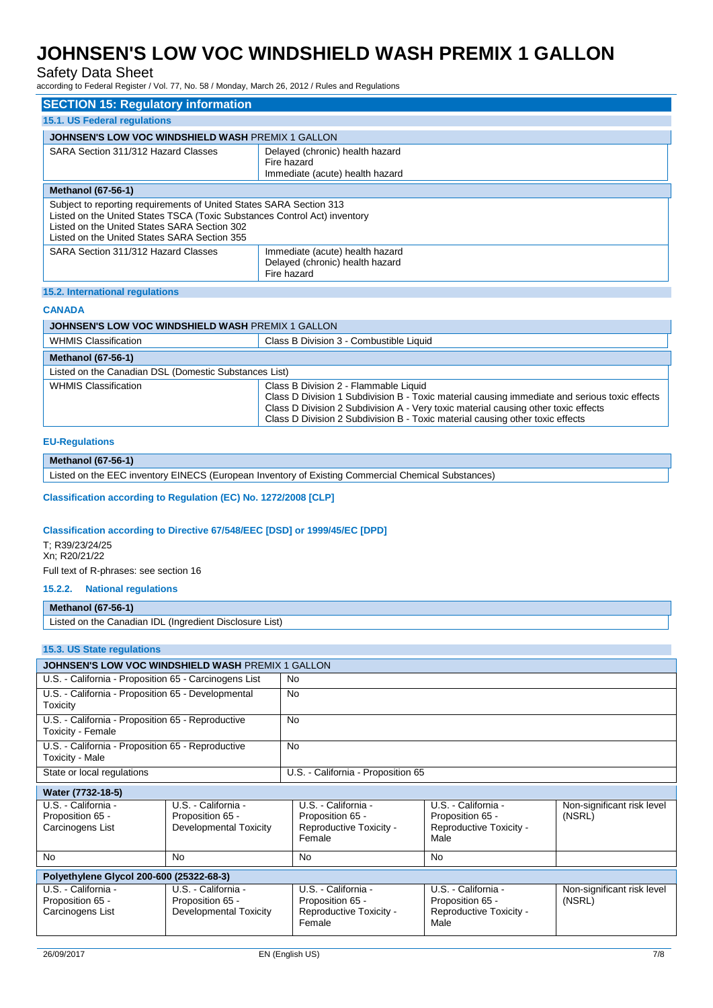## Safety Data Sheet

according to Federal Register / Vol. 77, No. 58 / Monday, March 26, 2012 / Rules and Regulations

| <b>SECTION 15: Regulatory information</b>                                                                                                                                                                                                        |                                                                                   |  |
|--------------------------------------------------------------------------------------------------------------------------------------------------------------------------------------------------------------------------------------------------|-----------------------------------------------------------------------------------|--|
| <b>15.1. US Federal regulations</b>                                                                                                                                                                                                              |                                                                                   |  |
| JOHNSEN'S LOW VOC WINDSHIELD WASH PREMIX 1 GALLON                                                                                                                                                                                                |                                                                                   |  |
| SARA Section 311/312 Hazard Classes                                                                                                                                                                                                              | Delayed (chronic) health hazard<br>Fire hazard<br>Immediate (acute) health hazard |  |
| <b>Methanol (67-56-1)</b>                                                                                                                                                                                                                        |                                                                                   |  |
| Subject to reporting requirements of United States SARA Section 313<br>Listed on the United States TSCA (Toxic Substances Control Act) inventory<br>Listed on the United States SARA Section 302<br>Listed on the United States SARA Section 355 |                                                                                   |  |
| SARA Section 311/312 Hazard Classes                                                                                                                                                                                                              | Immediate (acute) health hazard<br>Delayed (chronic) health hazard<br>Fire hazard |  |
| 15.2. International regulations                                                                                                                                                                                                                  |                                                                                   |  |

## **CANADA**

| <b>JOHNSEN'S LOW VOC WINDSHIELD WASH PREMIX 1 GALLON</b> |                                                                                                                                                                                                                                                                                                               |
|----------------------------------------------------------|---------------------------------------------------------------------------------------------------------------------------------------------------------------------------------------------------------------------------------------------------------------------------------------------------------------|
| <b>WHMIS Classification</b>                              | Class B Division 3 - Combustible Liquid                                                                                                                                                                                                                                                                       |
| <b>Methanol (67-56-1)</b>                                |                                                                                                                                                                                                                                                                                                               |
| Listed on the Canadian DSL (Domestic Substances List)    |                                                                                                                                                                                                                                                                                                               |
| <b>WHMIS Classification</b>                              | Class B Division 2 - Flammable Liquid<br>Class D Division 1 Subdivision B - Toxic material causing immediate and serious toxic effects<br>Class D Division 2 Subdivision A - Very toxic material causing other toxic effects<br>Class D Division 2 Subdivision B - Toxic material causing other toxic effects |

#### **EU-Regulations**

#### **Methanol (67-56-1)**

Listed on the EEC inventory EINECS (European Inventory of Existing Commercial Chemical Substances)

**Classification according to Regulation (EC) No. 1272/2008 [CLP]**

#### **Classification according to Directive 67/548/EEC [DSD] or 1999/45/EC [DPD]**

T; R39/23/24/25 Xn; R20/21/22 Full text of R-phrases: see section 16

### **15.2.2. National regulations**

### **Methanol (67-56-1)**

Listed on the Canadian IDL (Ingredient Disclosure List)

### **15.3. US State regulations**

| <b>JOHNSEN'S LOW VOC WINDSHIELD WASH PREMIX 1 GALLON</b>               |                                    |  |
|------------------------------------------------------------------------|------------------------------------|--|
| U.S. - California - Proposition 65 - Carcinogens List                  | No.                                |  |
| U.S. - California - Proposition 65 - Developmental<br>Toxicity         | No.                                |  |
| U.S. - California - Proposition 65 - Reproductive<br>Toxicity - Female | No                                 |  |
| U.S. - California - Proposition 65 - Reproductive<br>Toxicity - Male   | <b>No</b>                          |  |
| State or local regulations                                             | U.S. - California - Proposition 65 |  |

#### **Water (7732-18-5)**

| U.S. - California -                      | U.S. - California -    | U.S. - California -     | U.S. - California -     | Non-significant risk level |
|------------------------------------------|------------------------|-------------------------|-------------------------|----------------------------|
| Proposition 65 -                         | Proposition 65 -       | Proposition 65 -        | Proposition 65 -        | (NSRL)                     |
| Carcinogens List                         | Developmental Toxicity | Reproductive Toxicity - | Reproductive Toxicity - |                            |
|                                          |                        | Female                  | Male                    |                            |
|                                          |                        |                         |                         |                            |
| <b>No</b>                                | No                     | No                      | No                      |                            |
|                                          |                        |                         |                         |                            |
|                                          |                        |                         |                         |                            |
| Polyethylene Glycol 200-600 (25322-68-3) |                        |                         |                         |                            |
| U.S. - California -                      | U.S. - California -    | U.S. - California -     | U.S. - California -     | Non-significant risk level |
| Proposition 65 -                         | Proposition 65 -       | Proposition 65 -        | Proposition 65 -        | (NSRL)                     |
| Carcinogens List                         | Developmental Toxicity | Reproductive Toxicity - | Reproductive Toxicity - |                            |
|                                          |                        | Female                  | Male                    |                            |